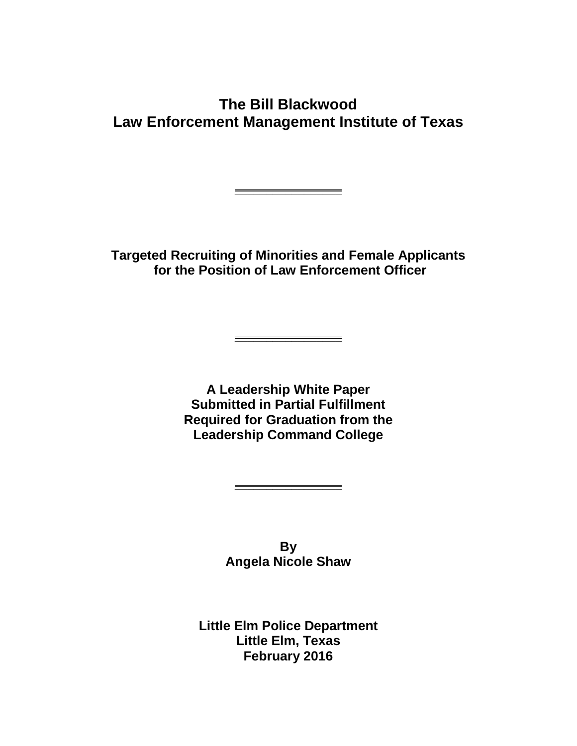## **The Bill Blackwood Law Enforcement Management Institute of Texas**

**Targeted Recruiting of Minorities and Female Applicants for the Position of Law Enforcement Officer**

**\_\_\_\_\_\_\_\_\_\_\_\_\_\_\_\_\_**

**\_\_\_\_\_\_\_\_\_\_\_\_\_\_\_\_\_**

**A Leadership White Paper Submitted in Partial Fulfillment Required for Graduation from the Leadership Command College**

> **By Angela Nicole Shaw**

**\_\_\_\_\_\_\_\_\_\_\_\_\_\_\_\_\_**

**Little Elm Police Department Little Elm, Texas February 2016**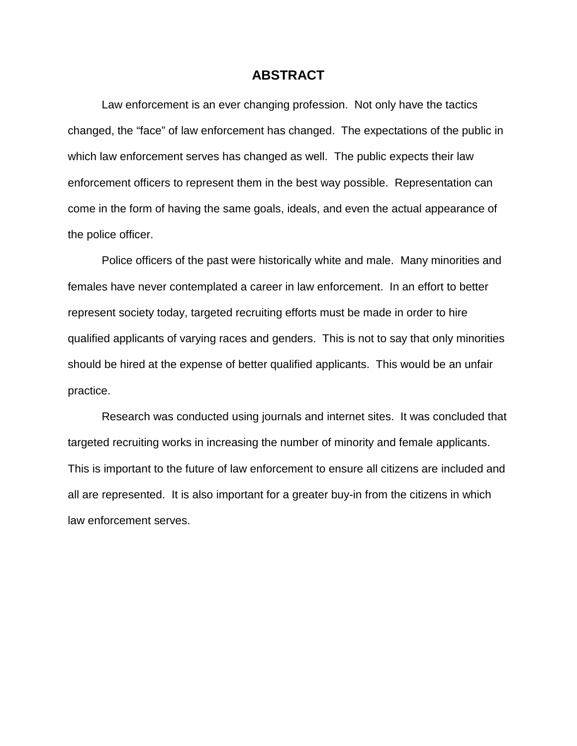#### **ABSTRACT**

Law enforcement is an ever changing profession. Not only have the tactics changed, the "face" of law enforcement has changed. The expectations of the public in which law enforcement serves has changed as well. The public expects their law enforcement officers to represent them in the best way possible. Representation can come in the form of having the same goals, ideals, and even the actual appearance of the police officer.

Police officers of the past were historically white and male. Many minorities and females have never contemplated a career in law enforcement. In an effort to better represent society today, targeted recruiting efforts must be made in order to hire qualified applicants of varying races and genders. This is not to say that only minorities should be hired at the expense of better qualified applicants. This would be an unfair practice.

Research was conducted using journals and internet sites. It was concluded that targeted recruiting works in increasing the number of minority and female applicants. This is important to the future of law enforcement to ensure all citizens are included and all are represented. It is also important for a greater buy-in from the citizens in which law enforcement serves.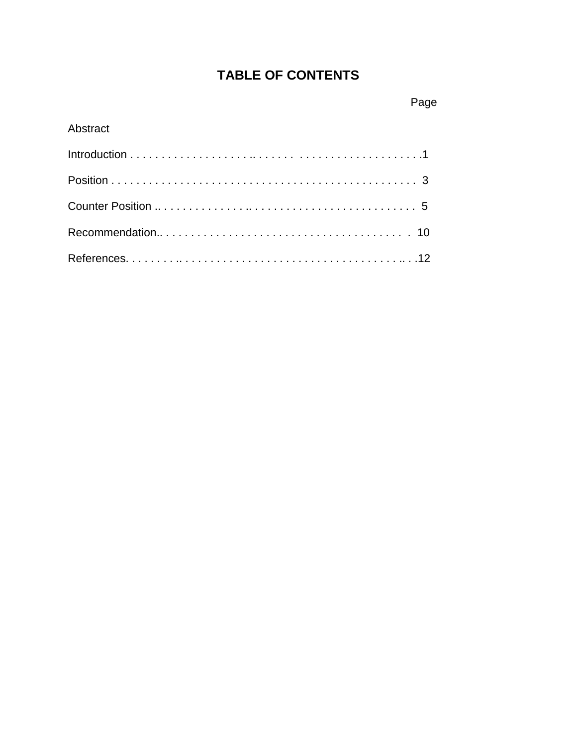# **TABLE OF CONTENTS**

### Abstract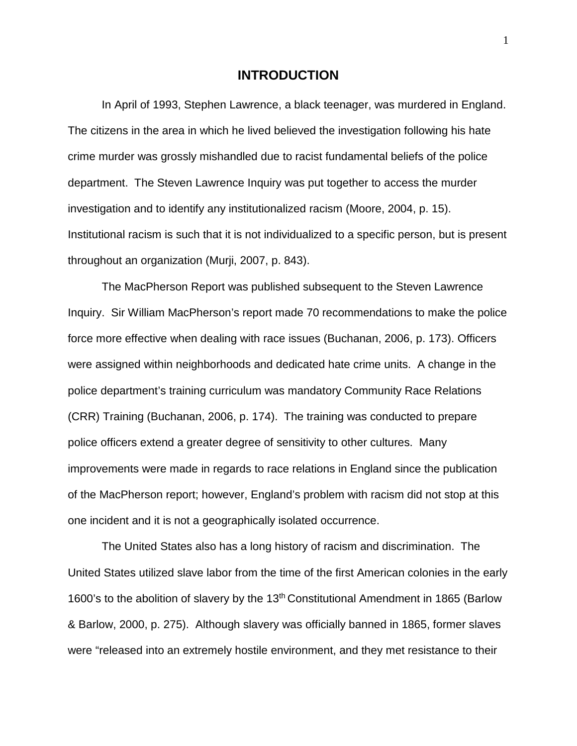#### **INTRODUCTION**

In April of 1993, Stephen Lawrence, a black teenager, was murdered in England. The citizens in the area in which he lived believed the investigation following his hate crime murder was grossly mishandled due to racist fundamental beliefs of the police department. The Steven Lawrence Inquiry was put together to access the murder investigation and to identify any institutionalized racism (Moore, 2004, p. 15). Institutional racism is such that it is not individualized to a specific person, but is present throughout an organization (Murji, 2007, p. 843).

The MacPherson Report was published subsequent to the Steven Lawrence Inquiry. Sir William MacPherson's report made 70 recommendations to make the police force more effective when dealing with race issues (Buchanan, 2006, p. 173). Officers were assigned within neighborhoods and dedicated hate crime units. A change in the police department's training curriculum was mandatory Community Race Relations (CRR) Training (Buchanan, 2006, p. 174). The training was conducted to prepare police officers extend a greater degree of sensitivity to other cultures. Many improvements were made in regards to race relations in England since the publication of the MacPherson report; however, England's problem with racism did not stop at this one incident and it is not a geographically isolated occurrence.

The United States also has a long history of racism and discrimination. The United States utilized slave labor from the time of the first American colonies in the early 1600's to the abolition of slavery by the 13<sup>th</sup> Constitutional Amendment in 1865 (Barlow & Barlow, 2000, p. 275). Although slavery was officially banned in 1865, former slaves were "released into an extremely hostile environment, and they met resistance to their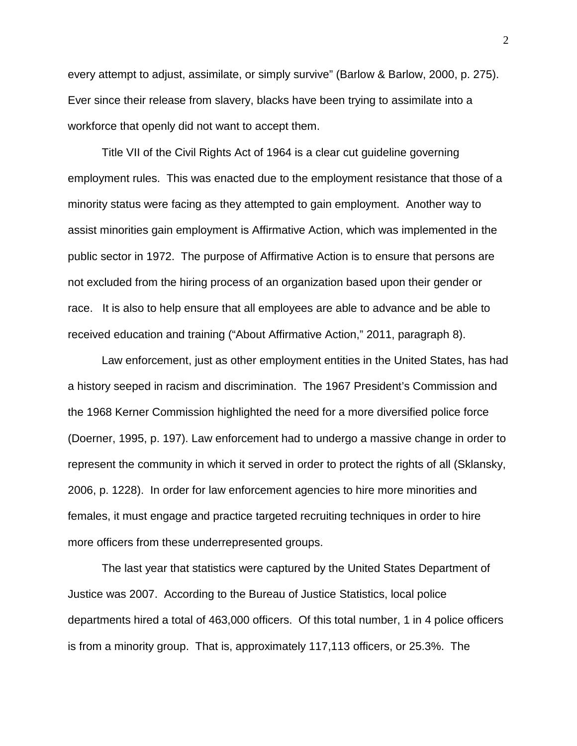every attempt to adjust, assimilate, or simply survive" (Barlow & Barlow, 2000, p. 275). Ever since their release from slavery, blacks have been trying to assimilate into a workforce that openly did not want to accept them.

Title VII of the Civil Rights Act of 1964 is a clear cut guideline governing employment rules. This was enacted due to the employment resistance that those of a minority status were facing as they attempted to gain employment. Another way to assist minorities gain employment is Affirmative Action, which was implemented in the public sector in 1972. The purpose of Affirmative Action is to ensure that persons are not excluded from the hiring process of an organization based upon their gender or race. It is also to help ensure that all employees are able to advance and be able to received education and training ("About Affirmative Action," 2011, paragraph 8).

Law enforcement, just as other employment entities in the United States, has had a history seeped in racism and discrimination. The 1967 President's Commission and the 1968 Kerner Commission highlighted the need for a more diversified police force (Doerner, 1995, p. 197). Law enforcement had to undergo a massive change in order to represent the community in which it served in order to protect the rights of all (Sklansky, 2006, p. 1228). In order for law enforcement agencies to hire more minorities and females, it must engage and practice targeted recruiting techniques in order to hire more officers from these underrepresented groups.

The last year that statistics were captured by the United States Department of Justice was 2007. According to the Bureau of Justice Statistics, local police departments hired a total of 463,000 officers. Of this total number, 1 in 4 police officers is from a minority group. That is, approximately 117,113 officers, or 25.3%. The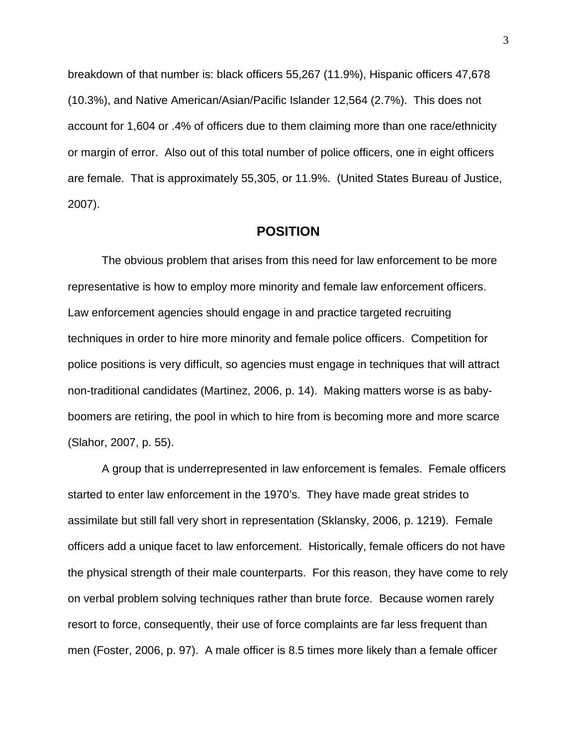breakdown of that number is: black officers 55,267 (11.9%), Hispanic officers 47,678 (10.3%), and Native American/Asian/Pacific Islander 12,564 (2.7%). This does not account for 1,604 or .4% of officers due to them claiming more than one race/ethnicity or margin of error. Also out of this total number of police officers, one in eight officers are female. That is approximately 55,305, or 11.9%. (United States Bureau of Justice, 2007).

#### **POSITION**

The obvious problem that arises from this need for law enforcement to be more representative is how to employ more minority and female law enforcement officers. Law enforcement agencies should engage in and practice targeted recruiting techniques in order to hire more minority and female police officers. Competition for police positions is very difficult, so agencies must engage in techniques that will attract non-traditional candidates (Martinez, 2006, p. 14). Making matters worse is as babyboomers are retiring, the pool in which to hire from is becoming more and more scarce (Slahor, 2007, p. 55).

A group that is underrepresented in law enforcement is females. Female officers started to enter law enforcement in the 1970's. They have made great strides to assimilate but still fall very short in representation (Sklansky, 2006, p. 1219). Female officers add a unique facet to law enforcement. Historically, female officers do not have the physical strength of their male counterparts. For this reason, they have come to rely on verbal problem solving techniques rather than brute force. Because women rarely resort to force, consequently, their use of force complaints are far less frequent than men (Foster, 2006, p. 97). A male officer is 8.5 times more likely than a female officer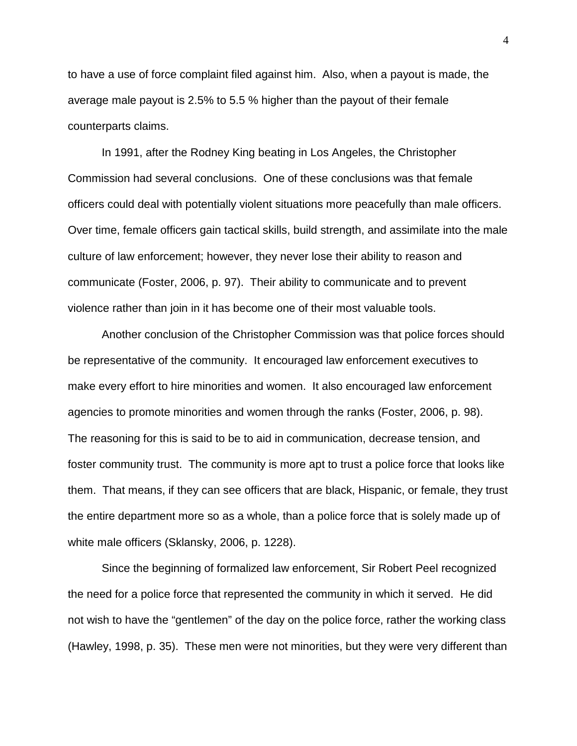to have a use of force complaint filed against him. Also, when a payout is made, the average male payout is 2.5% to 5.5 % higher than the payout of their female counterparts claims.

In 1991, after the Rodney King beating in Los Angeles, the Christopher Commission had several conclusions. One of these conclusions was that female officers could deal with potentially violent situations more peacefully than male officers. Over time, female officers gain tactical skills, build strength, and assimilate into the male culture of law enforcement; however, they never lose their ability to reason and communicate (Foster, 2006, p. 97). Their ability to communicate and to prevent violence rather than join in it has become one of their most valuable tools.

Another conclusion of the Christopher Commission was that police forces should be representative of the community. It encouraged law enforcement executives to make every effort to hire minorities and women. It also encouraged law enforcement agencies to promote minorities and women through the ranks (Foster, 2006, p. 98). The reasoning for this is said to be to aid in communication, decrease tension, and foster community trust. The community is more apt to trust a police force that looks like them. That means, if they can see officers that are black, Hispanic, or female, they trust the entire department more so as a whole, than a police force that is solely made up of white male officers (Sklansky, 2006, p. 1228).

Since the beginning of formalized law enforcement, Sir Robert Peel recognized the need for a police force that represented the community in which it served. He did not wish to have the "gentlemen" of the day on the police force, rather the working class (Hawley, 1998, p. 35). These men were not minorities, but they were very different than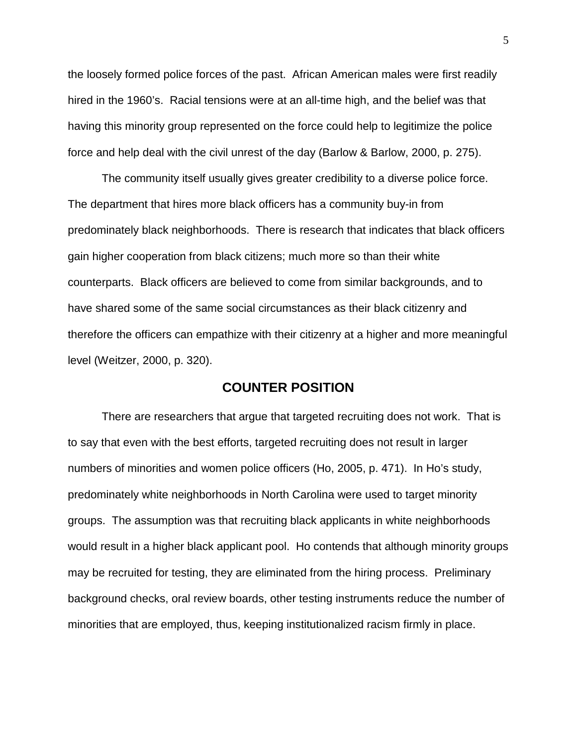the loosely formed police forces of the past. African American males were first readily hired in the 1960's. Racial tensions were at an all-time high, and the belief was that having this minority group represented on the force could help to legitimize the police force and help deal with the civil unrest of the day (Barlow & Barlow, 2000, p. 275).

The community itself usually gives greater credibility to a diverse police force. The department that hires more black officers has a community buy-in from predominately black neighborhoods. There is research that indicates that black officers gain higher cooperation from black citizens; much more so than their white counterparts. Black officers are believed to come from similar backgrounds, and to have shared some of the same social circumstances as their black citizenry and therefore the officers can empathize with their citizenry at a higher and more meaningful level (Weitzer, 2000, p. 320).

#### **COUNTER POSITION**

There are researchers that argue that targeted recruiting does not work. That is to say that even with the best efforts, targeted recruiting does not result in larger numbers of minorities and women police officers (Ho, 2005, p. 471). In Ho's study, predominately white neighborhoods in North Carolina were used to target minority groups. The assumption was that recruiting black applicants in white neighborhoods would result in a higher black applicant pool. Ho contends that although minority groups may be recruited for testing, they are eliminated from the hiring process. Preliminary background checks, oral review boards, other testing instruments reduce the number of minorities that are employed, thus, keeping institutionalized racism firmly in place.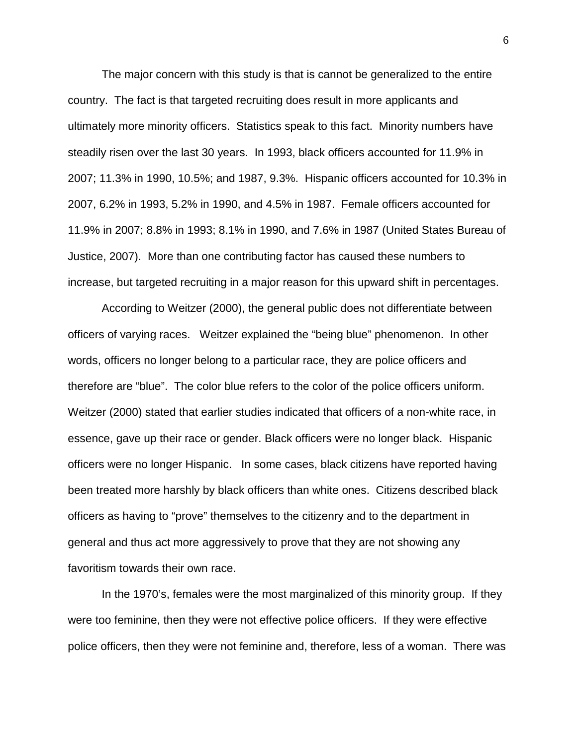The major concern with this study is that is cannot be generalized to the entire country. The fact is that targeted recruiting does result in more applicants and ultimately more minority officers. Statistics speak to this fact. Minority numbers have steadily risen over the last 30 years. In 1993, black officers accounted for 11.9% in 2007; 11.3% in 1990, 10.5%; and 1987, 9.3%. Hispanic officers accounted for 10.3% in 2007, 6.2% in 1993, 5.2% in 1990, and 4.5% in 1987. Female officers accounted for 11.9% in 2007; 8.8% in 1993; 8.1% in 1990, and 7.6% in 1987 (United States Bureau of Justice, 2007). More than one contributing factor has caused these numbers to increase, but targeted recruiting in a major reason for this upward shift in percentages.

According to Weitzer (2000), the general public does not differentiate between officers of varying races. Weitzer explained the "being blue" phenomenon. In other words, officers no longer belong to a particular race, they are police officers and therefore are "blue". The color blue refers to the color of the police officers uniform. Weitzer (2000) stated that earlier studies indicated that officers of a non-white race, in essence, gave up their race or gender. Black officers were no longer black. Hispanic officers were no longer Hispanic. In some cases, black citizens have reported having been treated more harshly by black officers than white ones. Citizens described black officers as having to "prove" themselves to the citizenry and to the department in general and thus act more aggressively to prove that they are not showing any favoritism towards their own race.

In the 1970's, females were the most marginalized of this minority group. If they were too feminine, then they were not effective police officers. If they were effective police officers, then they were not feminine and, therefore, less of a woman. There was

6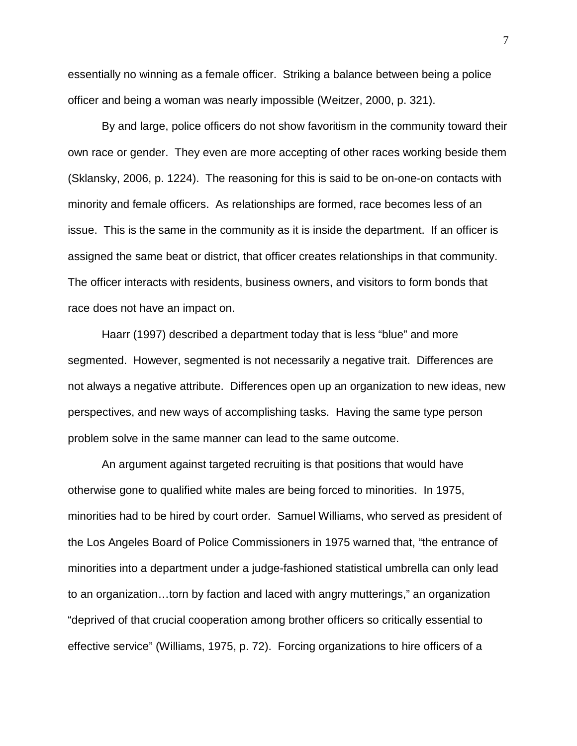essentially no winning as a female officer. Striking a balance between being a police officer and being a woman was nearly impossible (Weitzer, 2000, p. 321).

By and large, police officers do not show favoritism in the community toward their own race or gender. They even are more accepting of other races working beside them (Sklansky, 2006, p. 1224). The reasoning for this is said to be on-one-on contacts with minority and female officers. As relationships are formed, race becomes less of an issue. This is the same in the community as it is inside the department. If an officer is assigned the same beat or district, that officer creates relationships in that community. The officer interacts with residents, business owners, and visitors to form bonds that race does not have an impact on.

Haarr (1997) described a department today that is less "blue" and more segmented. However, segmented is not necessarily a negative trait. Differences are not always a negative attribute. Differences open up an organization to new ideas, new perspectives, and new ways of accomplishing tasks. Having the same type person problem solve in the same manner can lead to the same outcome.

An argument against targeted recruiting is that positions that would have otherwise gone to qualified white males are being forced to minorities. In 1975, minorities had to be hired by court order. Samuel Williams, who served as president of the Los Angeles Board of Police Commissioners in 1975 warned that, "the entrance of minorities into a department under a judge-fashioned statistical umbrella can only lead to an organization…torn by faction and laced with angry mutterings," an organization "deprived of that crucial cooperation among brother officers so critically essential to effective service" (Williams, 1975, p. 72). Forcing organizations to hire officers of a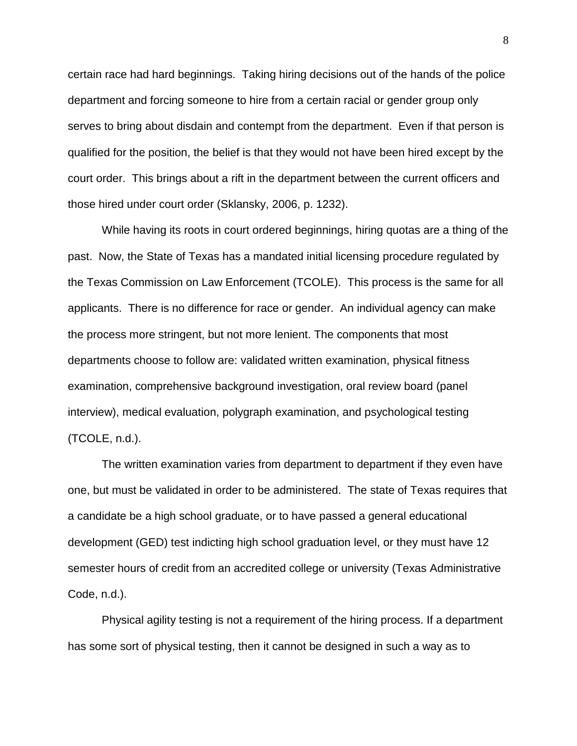certain race had hard beginnings. Taking hiring decisions out of the hands of the police department and forcing someone to hire from a certain racial or gender group only serves to bring about disdain and contempt from the department. Even if that person is qualified for the position, the belief is that they would not have been hired except by the court order. This brings about a rift in the department between the current officers and those hired under court order (Sklansky, 2006, p. 1232).

While having its roots in court ordered beginnings, hiring quotas are a thing of the past. Now, the State of Texas has a mandated initial licensing procedure regulated by the Texas Commission on Law Enforcement (TCOLE). This process is the same for all applicants. There is no difference for race or gender. An individual agency can make the process more stringent, but not more lenient. The components that most departments choose to follow are: validated written examination, physical fitness examination, comprehensive background investigation, oral review board (panel interview), medical evaluation, polygraph examination, and psychological testing (TCOLE, n.d.).

The written examination varies from department to department if they even have one, but must be validated in order to be administered. The state of Texas requires that a candidate be a high school graduate, or to have passed a general educational development (GED) test indicting high school graduation level, or they must have 12 semester hours of credit from an accredited college or university (Texas Administrative Code, n.d.).

Physical agility testing is not a requirement of the hiring process. If a department has some sort of physical testing, then it cannot be designed in such a way as to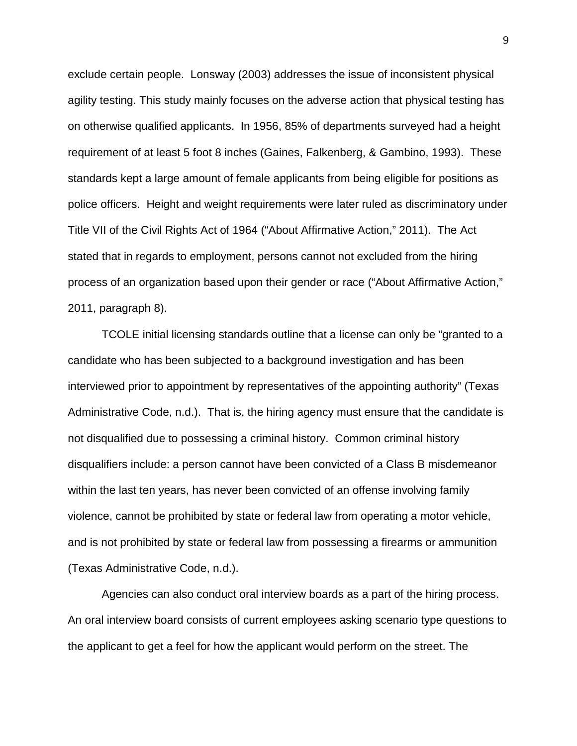exclude certain people. Lonsway (2003) addresses the issue of inconsistent physical agility testing. This study mainly focuses on the adverse action that physical testing has on otherwise qualified applicants. In 1956, 85% of departments surveyed had a height requirement of at least 5 foot 8 inches (Gaines, Falkenberg, & Gambino, 1993). These standards kept a large amount of female applicants from being eligible for positions as police officers. Height and weight requirements were later ruled as discriminatory under Title VII of the Civil Rights Act of 1964 ("About Affirmative Action," 2011). The Act stated that in regards to employment, persons cannot not excluded from the hiring process of an organization based upon their gender or race ("About Affirmative Action," 2011, paragraph 8).

TCOLE initial licensing standards outline that a license can only be "granted to a candidate who has been subjected to a background investigation and has been interviewed prior to appointment by representatives of the appointing authority" (Texas Administrative Code, n.d.). That is, the hiring agency must ensure that the candidate is not disqualified due to possessing a criminal history. Common criminal history disqualifiers include: a person cannot have been convicted of a Class B misdemeanor within the last ten years, has never been convicted of an offense involving family violence, cannot be prohibited by state or federal law from operating a motor vehicle, and is not prohibited by state or federal law from possessing a firearms or ammunition (Texas Administrative Code, n.d.).

Agencies can also conduct oral interview boards as a part of the hiring process. An oral interview board consists of current employees asking scenario type questions to the applicant to get a feel for how the applicant would perform on the street. The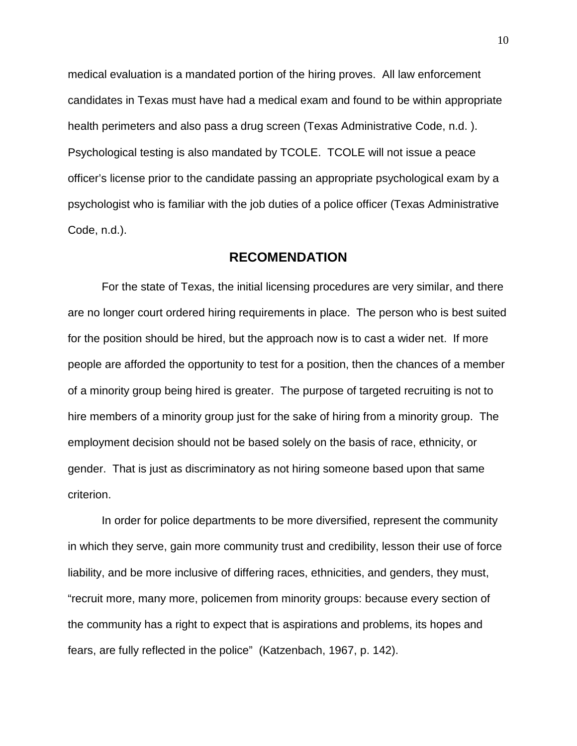medical evaluation is a mandated portion of the hiring proves. All law enforcement candidates in Texas must have had a medical exam and found to be within appropriate health perimeters and also pass a drug screen (Texas Administrative Code, n.d. ). Psychological testing is also mandated by TCOLE. TCOLE will not issue a peace officer's license prior to the candidate passing an appropriate psychological exam by a psychologist who is familiar with the job duties of a police officer (Texas Administrative Code, n.d.).

#### **RECOMENDATION**

For the state of Texas, the initial licensing procedures are very similar, and there are no longer court ordered hiring requirements in place. The person who is best suited for the position should be hired, but the approach now is to cast a wider net. If more people are afforded the opportunity to test for a position, then the chances of a member of a minority group being hired is greater. The purpose of targeted recruiting is not to hire members of a minority group just for the sake of hiring from a minority group. The employment decision should not be based solely on the basis of race, ethnicity, or gender. That is just as discriminatory as not hiring someone based upon that same criterion.

In order for police departments to be more diversified, represent the community in which they serve, gain more community trust and credibility, lesson their use of force liability, and be more inclusive of differing races, ethnicities, and genders, they must, "recruit more, many more, policemen from minority groups: because every section of the community has a right to expect that is aspirations and problems, its hopes and fears, are fully reflected in the police" (Katzenbach, 1967, p. 142).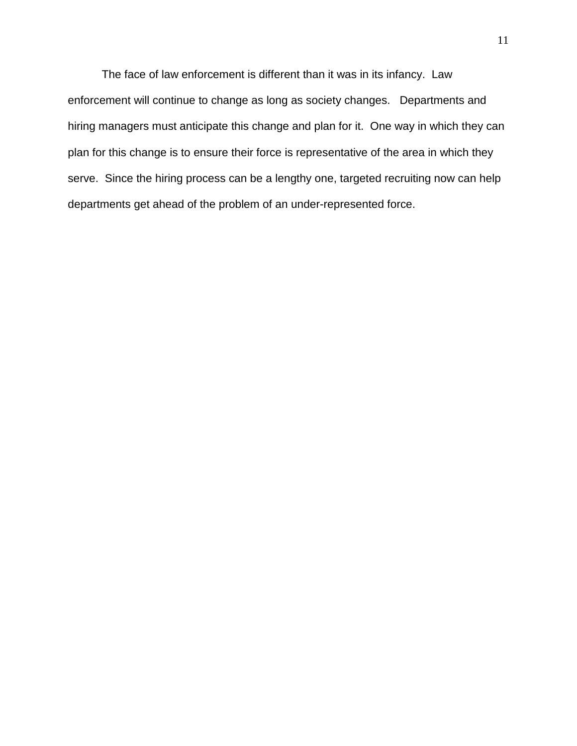The face of law enforcement is different than it was in its infancy. Law enforcement will continue to change as long as society changes. Departments and hiring managers must anticipate this change and plan for it. One way in which they can plan for this change is to ensure their force is representative of the area in which they serve. Since the hiring process can be a lengthy one, targeted recruiting now can help departments get ahead of the problem of an under-represented force.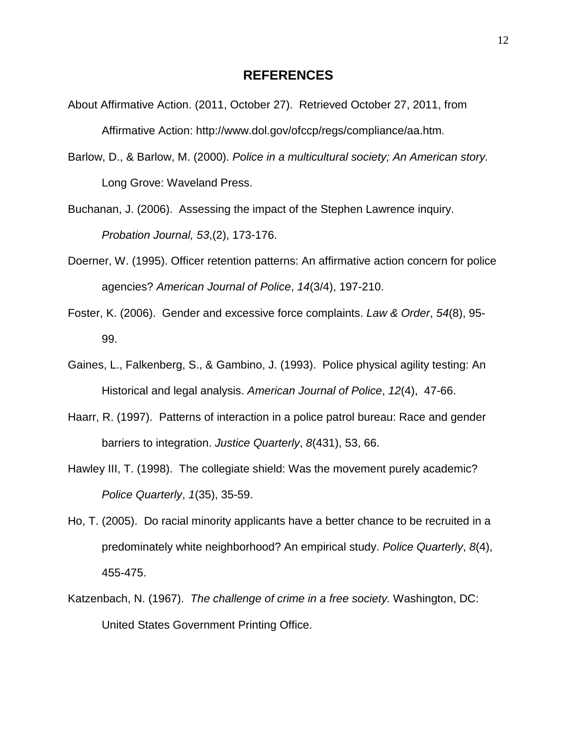#### **REFERENCES**

- About Affirmative Action. (2011, October 27). Retrieved October 27, 2011, from Affirmative Action: http://www.dol.gov/ofccp/regs/compliance/aa.htm.
- Barlow, D., & Barlow, M. (2000). *Police in a multicultural society; An American story.* Long Grove: Waveland Press.
- Buchanan, J. (2006). Assessing the impact of the Stephen Lawrence inquiry. *Probation Journal, 53*,(2), 173-176.
- Doerner, W. (1995). Officer retention patterns: An affirmative action concern for police agencies? *American Journal of Police*, *14*(3/4), 197-210.
- Foster, K. (2006). Gender and excessive force complaints. *Law & Order*, *54*(8), 95- 99.
- Gaines, L., Falkenberg, S., & Gambino, J. (1993). Police physical agility testing: An Historical and legal analysis. *American Journal of Police*, *12*(4), 47-66.
- Haarr, R. (1997). Patterns of interaction in a police patrol bureau: Race and gender barriers to integration. *Justice Quarterly*, *8*(431), 53, 66.
- Hawley III, T. (1998). The collegiate shield: Was the movement purely academic? *Police Quarterly*, *1*(35), 35-59.
- Ho, T. (2005). Do racial minority applicants have a better chance to be recruited in a predominately white neighborhood? An empirical study. *Police Quarterly*, *8*(4), 455-475.
- Katzenbach, N. (1967). *The challenge of crime in a free society.* Washington, DC: United States Government Printing Office.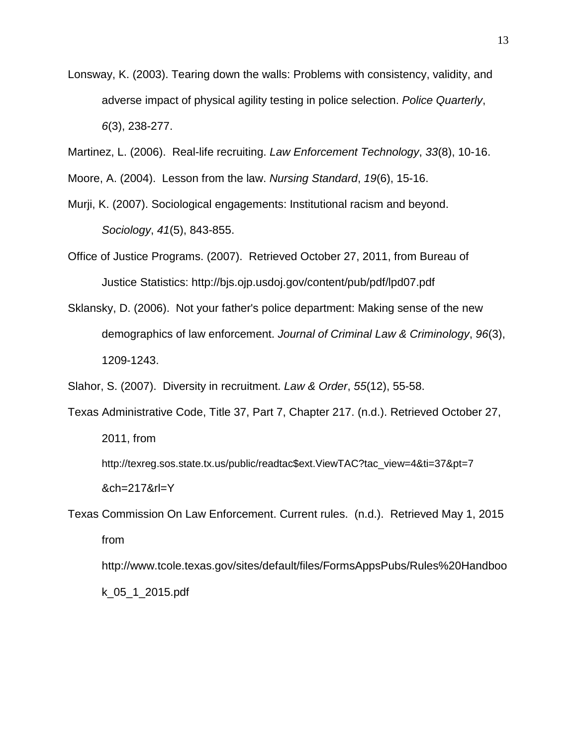Lonsway, K. (2003). Tearing down the walls: Problems with consistency, validity, and adverse impact of physical agility testing in police selection. *Police Quarterly*, *6*(3), 238-277.

Martinez, L. (2006). Real-life recruiting. *Law Enforcement Technology*, *33*(8), 10-16.

Moore, A. (2004). Lesson from the law. *Nursing Standard*, *19*(6), 15-16.

- Murji, K. (2007). Sociological engagements: Institutional racism and beyond. *Sociology*, *41*(5), 843-855.
- Office of Justice Programs. (2007). Retrieved October 27, 2011, from Bureau of Justice Statistics: http://bjs.ojp.usdoj.gov/content/pub/pdf/lpd07.pdf
- Sklansky, D. (2006). Not your father's police department: Making sense of the new demographics of law enforcement. *Journal of Criminal Law & Criminology*, *96*(3), 1209-1243.

Slahor, S. (2007). Diversity in recruitment. *Law & Order*, *55*(12), 55-58.

Texas Administrative Code, Title 37, Part 7, Chapter 217. (n.d.). Retrieved October 27, 2011, from [http://texreg.sos.state.tx.us/public/readtac\\$ext.ViewTAC?tac\\_view=4&ti=37&pt=7](http://texreg.sos.state.tx.us/public/readtac$ext.ViewTAC?tac_view=4&ti=37&pt=7) &ch=217&rl=Y

Texas Commission On Law Enforcement. Current rules. (n.d.). Retrieved May 1, 2015 from http://www.tcole.texas.gov/sites/default/files/FormsAppsPubs/Rules%20Handboo

k\_05\_1\_2015.pdf